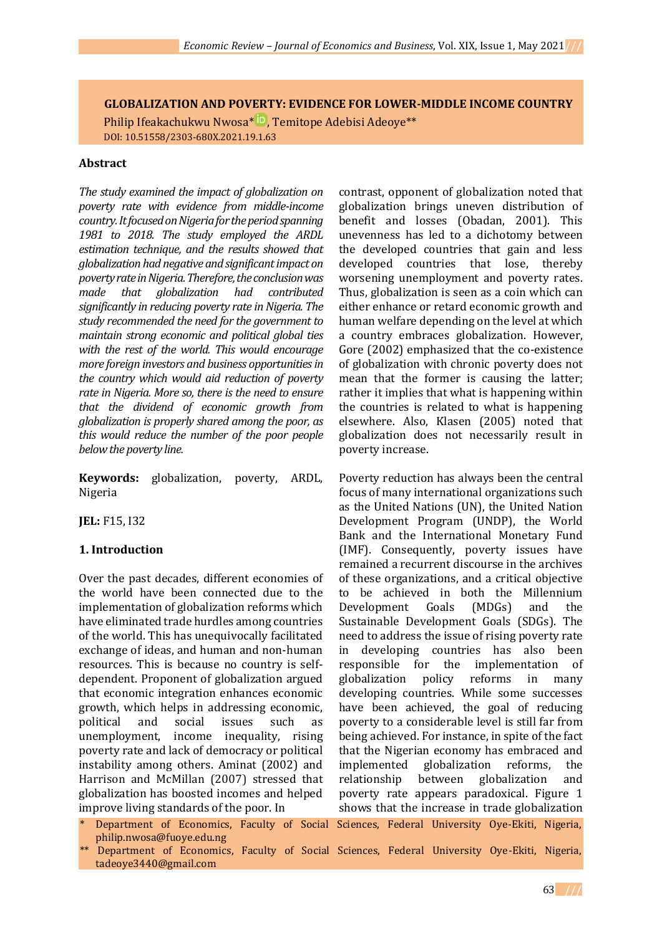**GLOBALIZATION AND POVERTY: EVIDENCE FOR LOWER-MIDDLE INCOME COUNTRY**

Philip Ifeakachukwu Nwosa\* D[,](https://orcid.org/0000-0001-6073-6659) Temitope Adebisi Adeoye\*\* DOI: 10.51558/2303-680X.2021.19.1.63

#### **Abstract**

*The study examined the impact of globalization on poverty rate with evidence from middle-income country. It focused on Nigeria for the period spanning 1981 to 2018. The study employed the ARDL estimation technique, and the results showed that globalization had negative and significant impact on poverty rate in Nigeria. Therefore, the conclusion was made that globalization had contributed significantly in reducing poverty rate in Nigeria. The study recommended the need for the government to maintain strong economic and political global ties with the rest of the world. This would encourage more foreign investors and business opportunities in the country which would aid reduction of poverty rate in Nigeria. More so, there is the need to ensure that the dividend of economic growth from globalization is properly shared among the poor, as this would reduce the number of the poor people below the poverty line.*

**Keywords:** globalization, poverty, ARDL, Nigeria

**JEL:** F15, I32

#### **1. Introduction**

Over the past decades, different economies of the world have been connected due to the implementation of globalization reforms which have eliminated trade hurdles among countries of the world. This has unequivocally facilitated exchange of ideas, and human and non-human resources. This is because no country is selfdependent. Proponent of globalization argued that economic integration enhances economic growth, which helps in addressing economic, political and social issues such as unemployment, income inequality, rising poverty rate and lack of democracy or political instability among others. Aminat (2002) and Harrison and McMillan (2007) stressed that globalization has boosted incomes and helped improve living standards of the poor. In

- philip.nwosa@fuoye.edu.ng
- \*\* Department of Economics, Faculty of Social Sciences, Federal University Oye-Ekiti, Nigeria, tadeoye3440@gmail.com

contrast, opponent of globalization noted that globalization brings uneven distribution of benefit and losses (Obadan, 2001). This unevenness has led to a dichotomy between the developed countries that gain and less developed countries that lose, thereby worsening unemployment and poverty rates. Thus, globalization is seen as a coin which can either enhance or retard economic growth and human welfare depending on the level at which a country embraces globalization. However, Gore (2002) emphasized that the co-existence of globalization with chronic poverty does not mean that the former is causing the latter; rather it implies that what is happening within the countries is related to what is happening elsewhere. Also, Klasen (2005) noted that globalization does not necessarily result in poverty increase.

Department of Economics, Faculty of Social Sciences, Federal University Oye-Ekiti, Nigeria, Poverty reduction has always been the central focus of many international organizations such as the United Nations (UN), the United Nation Development Program (UNDP), the World Bank and the International Monetary Fund (IMF). Consequently, poverty issues have remained a recurrent discourse in the archives of these organizations, and a critical objective to be achieved in both the Millennium Development Goals (MDGs) and the Sustainable Development Goals (SDGs). The need to address the issue of rising poverty rate in developing countries has also been responsible for the implementation of globalization policy reforms in many developing countries. While some successes have been achieved, the goal of reducing poverty to a considerable level is still far from being achieved. For instance, in spite of the fact that the Nigerian economy has embraced and implemented globalization reforms, the relationship between globalization and poverty rate appears paradoxical. Figure 1 shows that the increase in trade globalization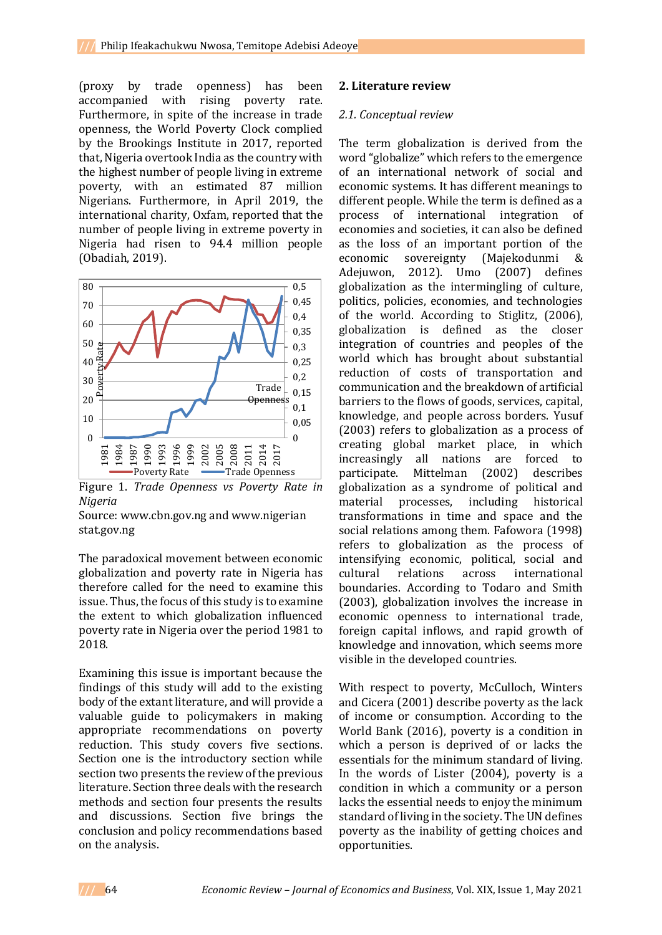(proxy by trade openness) has been accompanied with rising poverty rate. Furthermore, in spite of the increase in trade openness, the World Poverty Clock complied by the Brookings Institute in 2017, reported that, Nigeria overtook India as the country with the highest number of people living in extreme poverty, with an estimated 87 million Nigerians. Furthermore, in April 2019, the international charity, Oxfam, reported that the number of people living in extreme poverty in Nigeria had risen to 94.4 million people (Obadiah, 2019).



Figure 1. *Trade Openness vs Poverty Rate in Nigeria*

Source: www.cbn.gov.ng and www.nigerian stat.gov.ng

The paradoxical movement between economic globalization and poverty rate in Nigeria has therefore called for the need to examine this issue. Thus, the focus of this study is to examine the extent to which globalization influenced poverty rate in Nigeria over the period 1981 to 2018.

Examining this issue is important because the findings of this study will add to the existing body of the extant literature, and will provide a valuable guide to policymakers in making appropriate recommendations on poverty reduction. This study covers five sections. Section one is the introductory section while section two presents the review of the previous literature. Section three deals with the research methods and section four presents the results and discussions. Section five brings the conclusion and policy recommendations based on the analysis.

#### **2. Literature review**

#### *2.1. Conceptual review*

The term globalization is derived from the word "globalize" which refers to the emergence of an international network of social and economic systems. It has different meanings to different people. While the term is defined as a process of international integration of economies and societies, it can also be defined as the loss of an important portion of the economic sovereignty (Majekodunmi & Adejuwon, 2012). Umo (2007) defines globalization as the intermingling of culture, politics, policies, economies, and technologies of the world. According to Stiglitz, (2006), globalization is defined as the closer integration of countries and peoples of the world which has brought about substantial reduction of costs of transportation and communication and the breakdown of artificial barriers to the flows of goods, services, capital, knowledge, and people across borders. Yusuf (2003) refers to globalization as a process of creating global market place, in which increasingly all nations are forced to participate. Mittelman (2002) describes globalization as a syndrome of political and material processes, including historical transformations in time and space and the social relations among them. Fafowora (1998) refers to globalization as the process of intensifying economic, political, social and cultural relations across international boundaries. According to Todaro and Smith (2003), globalization involves the increase in economic openness to international trade, foreign capital inflows, and rapid growth of knowledge and innovation, which seems more visible in the developed countries.

With respect to poverty, McCulloch, Winters and Cicera (2001) describe poverty as the lack of income or consumption. According to the World Bank (2016), poverty is a condition in which a person is deprived of or lacks the essentials for the minimum standard of living. In the words of Lister (2004), poverty is a condition in which a community or a person lacks the essential needs to enjoy the minimum standard of living in the society. The UN defines poverty as the inability of getting choices and opportunities.

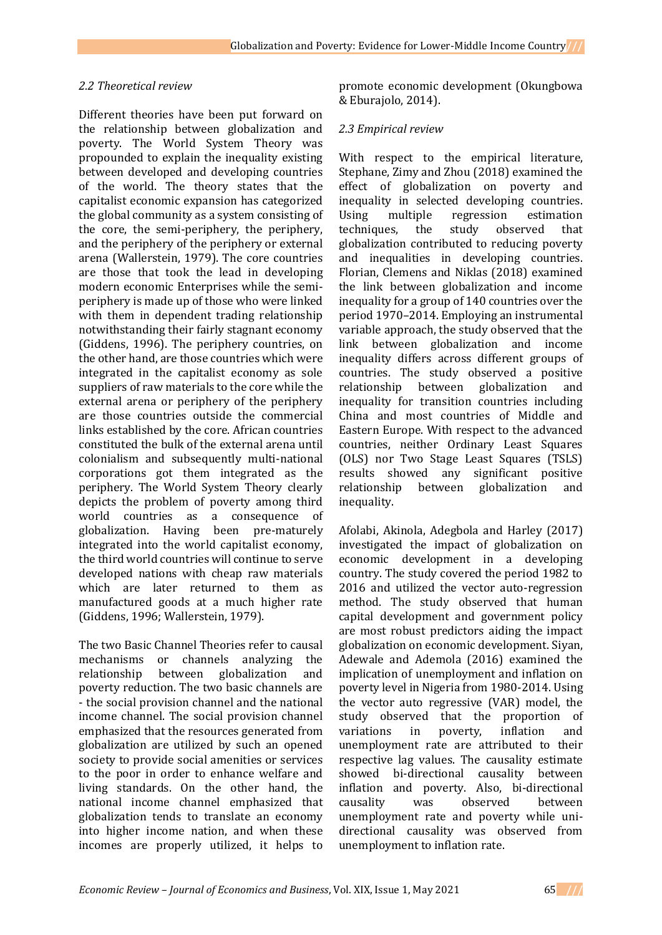#### *2.2 Theoretical review*

Different theories have been put forward on the relationship between globalization and poverty. The World System Theory was propounded to explain the inequality existing between developed and developing countries of the world. The theory states that the capitalist economic expansion has categorized the global community as a system consisting of the core, the semi-periphery, the periphery, and the periphery of the periphery or external arena (Wallerstein, 1979). The core countries are those that took the lead in developing modern economic Enterprises while the semiperiphery is made up of those who were linked with them in dependent trading relationship notwithstanding their fairly stagnant economy (Giddens, 1996). The periphery countries, on the other hand, are those countries which were integrated in the capitalist economy as sole suppliers of raw materials to the core while the external arena or periphery of the periphery are those countries outside the commercial links established by the core. African countries constituted the bulk of the external arena until colonialism and subsequently multi-national corporations got them integrated as the periphery. The World System Theory clearly depicts the problem of poverty among third world countries as a consequence of globalization. Having been pre-maturely integrated into the world capitalist economy, the third world countries will continue to serve developed nations with cheap raw materials which are later returned to them as manufactured goods at a much higher rate (Giddens, 1996; Wallerstein, 1979).

The two Basic Channel Theories refer to causal mechanisms or channels analyzing the relationship between globalization and poverty reduction. The two basic channels are - the social provision channel and the national income channel. The social provision channel emphasized that the resources generated from globalization are utilized by such an opened society to provide social amenities or services to the poor in order to enhance welfare and living standards. On the other hand, the national income channel emphasized that globalization tends to translate an economy into higher income nation, and when these incomes are properly utilized, it helps to

promote economic development (Okungbowa & Eburajolo, 2014).

#### *2.3 Empirical review*

With respect to the empirical literature, Stephane, Zimy and Zhou (2018) examined the effect of globalization on poverty and inequality in selected developing countries. Using multiple regression estimation techniques, the study observed that globalization contributed to reducing poverty and inequalities in developing countries. Florian, Clemens and Niklas (2018) examined the link between globalization and income inequality for a group of 140 countries over the period 1970–2014. Employing an instrumental variable approach, the study observed that the link between globalization and income inequality differs across different groups of countries. The study observed a positive relationship between globalization and inequality for transition countries including China and most countries of Middle and Eastern Europe. With respect to the advanced countries, neither Ordinary Least Squares (OLS) nor Two Stage Least Squares (TSLS) results showed any significant positive relationship between globalization and inequality.

Afolabi, Akinola, Adegbola and Harley (2017) investigated the impact of globalization on economic development in a developing country. The study covered the period 1982 to 2016 and utilized the vector auto-regression method. The study observed that human capital development and government policy are most robust predictors aiding the impact globalization on economic development. Siyan, Adewale and Ademola (2016) examined the implication of unemployment and inflation on poverty level in Nigeria from 1980-2014. Using the vector auto regressive (VAR) model, the study observed that the proportion of variations in poverty, inflation and unemployment rate are attributed to their respective lag values. The causality estimate showed bi-directional causality between inflation and poverty. Also, bi-directional causality was observed between unemployment rate and poverty while unidirectional causality was observed from unemployment to inflation rate.

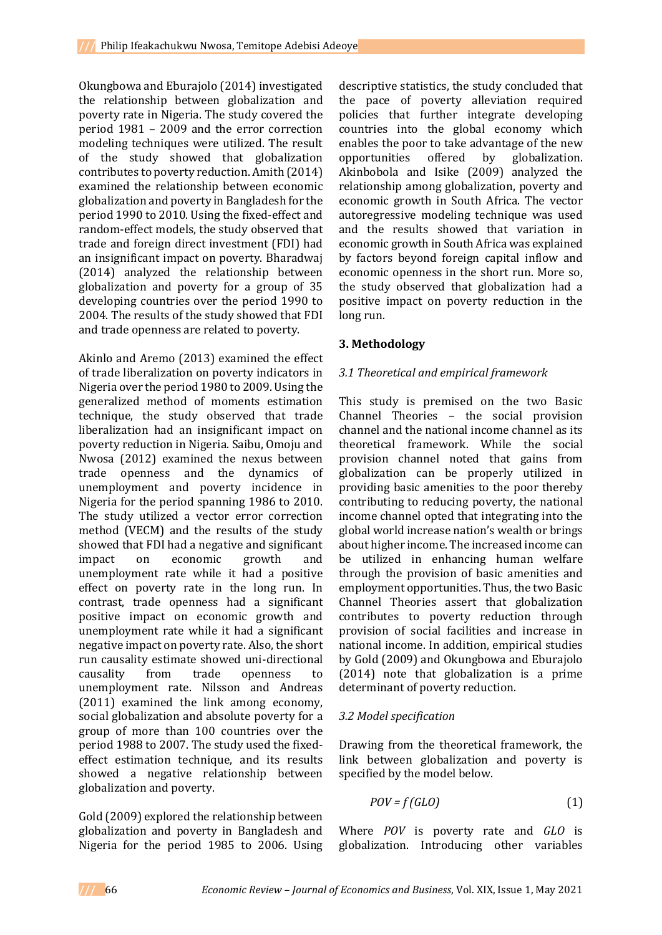Okungbowa and Eburajolo (2014) investigated the relationship between globalization and poverty rate in Nigeria. The study covered the period 1981 – 2009 and the error correction modeling techniques were utilized. The result of the study showed that globalization contributes to poverty reduction. Amith (2014) examined the relationship between economic globalization and poverty in Bangladesh for the period 1990 to 2010. Using the fixed-effect and random-effect models, the study observed that trade and foreign direct investment (FDI) had an insignificant impact on poverty. Bharadwaj (2014) analyzed the relationship between globalization and poverty for a group of 35 developing countries over the period 1990 to 2004. The results of the study showed that FDI and trade openness are related to poverty.

Akinlo and Aremo (2013) examined the effect of trade liberalization on poverty indicators in Nigeria over the period 1980 to 2009. Using the generalized method of moments estimation technique, the study observed that trade liberalization had an insignificant impact on poverty reduction in Nigeria. Saibu, Omoju and Nwosa (2012) examined the nexus between trade openness and the dynamics of unemployment and poverty incidence in Nigeria for the period spanning 1986 to 2010. The study utilized a vector error correction method (VECM) and the results of the study showed that FDI had a negative and significant impact on economic growth and unemployment rate while it had a positive effect on poverty rate in the long run. In contrast, trade openness had a significant positive impact on economic growth and unemployment rate while it had a significant negative impact on poverty rate. Also, the short run causality estimate showed uni-directional causality from trade openness to unemployment rate. Nilsson and Andreas (2011) examined the link among economy, social globalization and absolute poverty for a group of more than 100 countries over the period 1988 to 2007. The study used the fixedeffect estimation technique, and its results showed a negative relationship between globalization and poverty.

Gold (2009) explored the relationship between globalization and poverty in Bangladesh and Nigeria for the period 1985 to 2006. Using

descriptive statistics, the study concluded that the pace of poverty alleviation required policies that further integrate developing countries into the global economy which enables the poor to take advantage of the new opportunities offered by globalization. Akinbobola and Isike (2009) analyzed the relationship among globalization, poverty and economic growth in South Africa. The vector autoregressive modeling technique was used and the results showed that variation in economic growth in South Africa was explained by factors beyond foreign capital inflow and economic openness in the short run. More so, the study observed that globalization had a positive impact on poverty reduction in the long run.

# **3. Methodology**

# *3.1 Theoretical and empirical framework*

This study is premised on the two Basic Channel Theories – the social provision channel and the national income channel as its theoretical framework. While the social provision channel noted that gains from globalization can be properly utilized in providing basic amenities to the poor thereby contributing to reducing poverty, the national income channel opted that integrating into the global world increase nation's wealth or brings about higher income. The increased income can be utilized in enhancing human welfare through the provision of basic amenities and employment opportunities. Thus, the two Basic Channel Theories assert that globalization contributes to poverty reduction through provision of social facilities and increase in national income. In addition, empirical studies by Gold (2009) and Okungbowa and Eburajolo (2014) note that globalization is a prime determinant of poverty reduction.

# *3.2 Model specification*

Drawing from the theoretical framework, the link between globalization and poverty is specified by the model below.

$$
POV = f(GLO)
$$
 (1)

Where *POV* is poverty rate and *GLO* is globalization. Introducing other variables

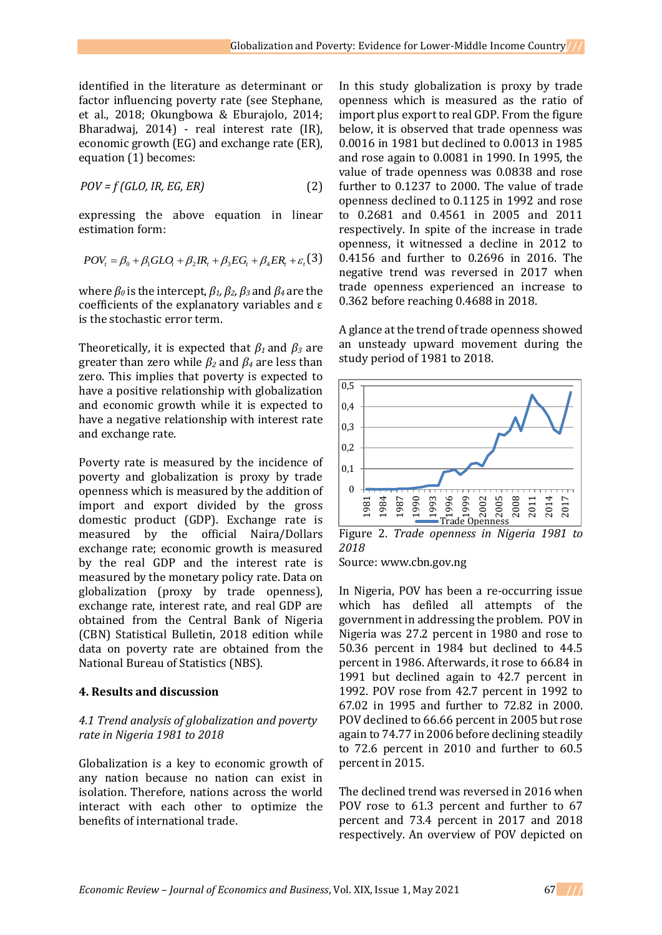identified in the literature as determinant or factor influencing poverty rate (see Stephane, et al., 2018; Okungbowa & Eburajolo, 2014; Bharadwaj, 2014) - real interest rate (IR), economic growth (EG) and exchange rate (ER), equation (1) becomes:

$$
POV = f(GLO, IR, EG, ER)
$$
 (2)

expressing the above equation in linear estimation form:

$$
POV_t = \beta_0 + \beta_1 GLO_t + \beta_2 IR_t + \beta_3 EG_t + \beta_4 ER_t + \varepsilon_t
$$
 (3)

where  $β$ <sup>0</sup> is the intercept,  $β$ <sup>1</sup>,  $β$ <sup>2</sup>,  $β$ <sup>3</sup> and  $β$ <sup>4</sup> are the coefficients of the explanatory variables and ε is the stochastic error term.

Theoretically, it is expected that *β<sup>1</sup>* and *β<sup>3</sup>* are greater than zero while  $\beta_2$  and  $\beta_4$  are less than zero. This implies that poverty is expected to have a positive relationship with globalization and economic growth while it is expected to have a negative relationship with interest rate and exchange rate.

Poverty rate is measured by the incidence of poverty and globalization is proxy by trade openness which is measured by the addition of import and export divided by the gross domestic product (GDP). Exchange rate is measured by the official Naira/Dollars exchange rate; economic growth is measured by the real GDP and the interest rate is measured by the monetary policy rate. Data on globalization (proxy by trade openness), exchange rate, interest rate, and real GDP are obtained from the Central Bank of Nigeria (CBN) Statistical Bulletin, 2018 edition while data on poverty rate are obtained from the National Bureau of Statistics (NBS).

#### **4. Results and discussion**

#### *4.1 Trend analysis of globalization and poverty rate in Nigeria 1981 to 2018*

Globalization is a key to economic growth of any nation because no nation can exist in isolation. Therefore, nations across the world interact with each other to optimize the benefits of international trade.

In this study globalization is proxy by trade openness which is measured as the ratio of import plus export to real GDP. From the figure below, it is observed that trade openness was 0.0016 in 1981 but declined to 0.0013 in 1985 and rose again to 0.0081 in 1990. In 1995, the value of trade openness was 0.0838 and rose further to 0.1237 to 2000. The value of trade openness declined to 0.1125 in 1992 and rose to 0.2681 and 0.4561 in 2005 and 2011 respectively. In spite of the increase in trade openness, it witnessed a decline in 2012 to 0.4156 and further to 0.2696 in 2016. The negative trend was reversed in 2017 when trade openness experienced an increase to 0.362 before reaching 0.4688 in 2018.

A glance at the trend of trade openness showed an unsteady upward movement during the study period of 1981 to 2018.



Figure 2. *Trade openness in Nigeria 1981 to 2018*

Source: www.cbn.gov.ng

In Nigeria, POV has been a re-occurring issue which has defiled all attempts of the government in addressing the problem. POV in Nigeria was 27.2 percent in 1980 and rose to 50.36 percent in 1984 but declined to 44.5 percent in 1986. Afterwards, it rose to 66.84 in 1991 but declined again to 42.7 percent in 1992. POV rose from 42.7 percent in 1992 to 67.02 in 1995 and further to 72.82 in 2000. POV declined to 66.66 percent in 2005 but rose again to 74.77 in 2006 before declining steadily to 72.6 percent in 2010 and further to 60.5 percent in 2015.

The declined trend was reversed in 2016 when POV rose to 61.3 percent and further to 67 percent and 73.4 percent in 2017 and 2018 respectively. An overview of POV depicted on

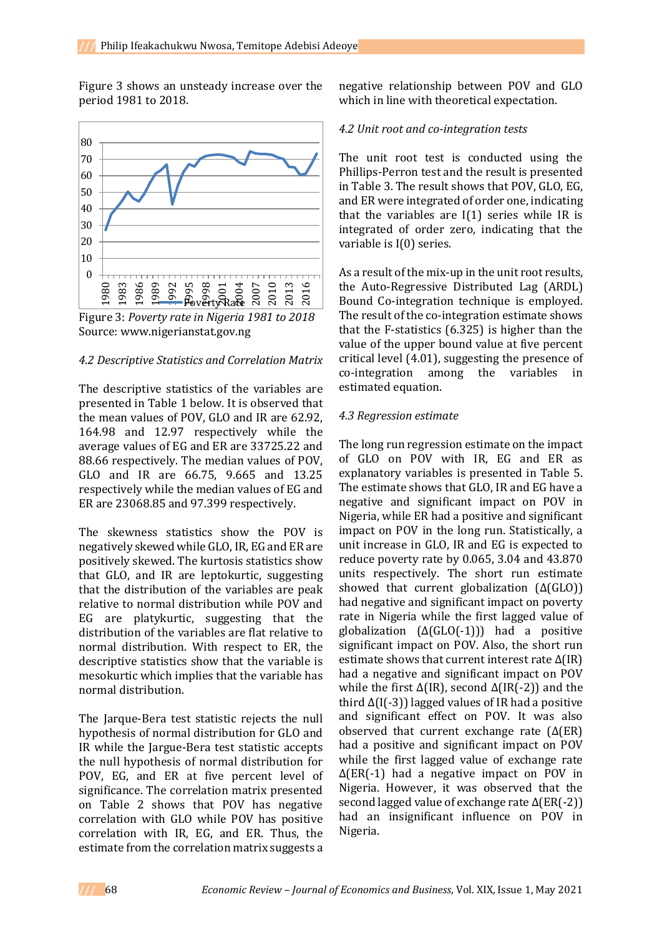Figure 3 shows an unsteady increase over the period 1981 to 2018.



Figure 3: *Poverty rate in Nigeria 1981 to 2018* Source: www.nigerianstat.gov.ng

#### *4.2 Descriptive Statistics and Correlation Matrix*

The descriptive statistics of the variables are presented in Table 1 below. It is observed that the mean values of POV, GLO and IR are 62.92, 164.98 and 12.97 respectively while the average values of EG and ER are 33725.22 and 88.66 respectively. The median values of POV, GLO and IR are 66.75, 9.665 and 13.25 respectively while the median values of EG and ER are 23068.85 and 97.399 respectively.

The skewness statistics show the POV is negatively skewed while GLO, IR, EG and ER are positively skewed. The kurtosis statistics show that GLO, and IR are leptokurtic, suggesting that the distribution of the variables are peak relative to normal distribution while POV and EG are platykurtic, suggesting that the distribution of the variables are flat relative to normal distribution. With respect to ER, the descriptive statistics show that the variable is mesokurtic which implies that the variable has normal distribution.

The Jarque-Bera test statistic rejects the null hypothesis of normal distribution for GLO and IR while the Jargue-Bera test statistic accepts the null hypothesis of normal distribution for POV, EG, and ER at five percent level of significance. The correlation matrix presented on Table 2 shows that POV has negative correlation with GLO while POV has positive correlation with IR, EG, and ER. Thus, the estimate from the correlation matrix suggests a

negative relationship between POV and GLO which in line with theoretical expectation.

#### *4.2 Unit root and co-integration tests*

The unit root test is conducted using the Phillips-Perron test and the result is presented in Table 3. The result shows that POV, GLO, EG, and ER were integrated of order one, indicating that the variables are  $I(1)$  series while IR is integrated of order zero, indicating that the variable is I(0) series.

As a result of the mix-up in the unit root results, the Auto-Regressive Distributed Lag (ARDL) Bound Co-integration technique is employed. The result of the co-integration estimate shows that the F-statistics (6.325) is higher than the value of the upper bound value at five percent critical level (4.01), suggesting the presence of co-integration among the variables in estimated equation.

#### *4.3 Regression estimate*

The long run regression estimate on the impact of GLO on POV with IR, EG and ER as explanatory variables is presented in Table 5. The estimate shows that GLO, IR and EG have a negative and significant impact on POV in Nigeria, while ER had a positive and significant impact on POV in the long run. Statistically, a unit increase in GLO, IR and EG is expected to reduce poverty rate by 0.065, 3.04 and 43.870 units respectively. The short run estimate showed that current globalization (Δ(GLO)) had negative and significant impact on poverty rate in Nigeria while the first lagged value of globalization (∆(GLO(-1))) had a positive significant impact on POV. Also, the short run estimate shows that current interest rate ∆(IR) had a negative and significant impact on POV while the first ∆(IR), second ∆(IR(-2)) and the third ∆(I(-3)) lagged values of IR had a positive and significant effect on POV. It was also observed that current exchange rate (∆(ER) had a positive and significant impact on POV while the first lagged value of exchange rate ∆(ER(-1) had a negative impact on POV in Nigeria. However, it was observed that the second lagged value of exchange rate Δ(ER(-2)) had an insignificant influence on POV in Nigeria.

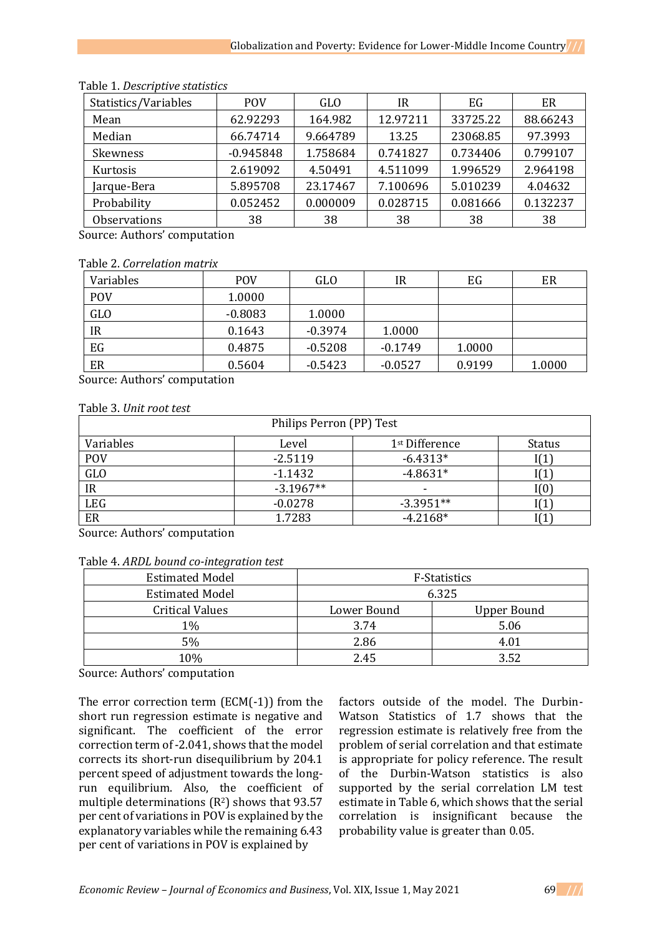| Statistics/Variables | <b>POV</b>  | <b>GLO</b> | IR       | EG       | ER       |
|----------------------|-------------|------------|----------|----------|----------|
| Mean                 | 62.92293    | 164.982    | 12.97211 | 33725.22 | 88.66243 |
| Median               | 66.74714    | 9.664789   | 13.25    | 23068.85 | 97.3993  |
| Skewness             | $-0.945848$ | 1.758684   | 0.741827 | 0.734406 | 0.799107 |
| Kurtosis             | 2.619092    | 4.50491    | 4.511099 | 1.996529 | 2.964198 |
| Jarque-Bera          | 5.895708    | 23.17467   | 7.100696 | 5.010239 | 4.04632  |
| Probability          | 0.052452    | 0.000009   | 0.028715 | 0.081666 | 0.132237 |
| <b>Observations</b>  | 38          | 38         | 38       | 38       | 38       |

## Table 1. *Descriptive statistics*

Source: Authors' computation

#### Table 2. *Correlation matrix*

| Variables  | <b>POV</b> | GLO       | IR        | EG     | ER     |
|------------|------------|-----------|-----------|--------|--------|
| <b>POV</b> | 1.0000     |           |           |        |        |
| <b>GLO</b> | $-0.8083$  | 1.0000    |           |        |        |
| IR         | 0.1643     | $-0.3974$ | 1.0000    |        |        |
| EG         | 0.4875     | $-0.5208$ | $-0.1749$ | 1.0000 |        |
| ER         | 0.5604     | $-0.5423$ | $-0.0527$ | 0.9199 | 1.0000 |

Source: Authors' computation

## Table 3. *Unit root test*

| Philips Perron (PP) Test |             |                            |               |  |
|--------------------------|-------------|----------------------------|---------------|--|
| Variables                | Level       | 1 <sup>st</sup> Difference | <b>Status</b> |  |
| <b>POV</b>               | $-2.5119$   | $-6.4313*$                 |               |  |
| <b>GLO</b>               | $-1.1432$   | $-4.8631*$                 |               |  |
| IR                       | $-3.1967**$ | -                          | [(0)          |  |
| <b>LEG</b>               | $-0.0278$   | $-3.3951**$                |               |  |
| ER                       | 1.7283      | $-4.2168*$                 |               |  |

Source: Authors' computation

#### Table 4. *ARDL bound co-integration test*

| <b>Estimated Model</b> | F-Statistics |             |  |
|------------------------|--------------|-------------|--|
| <b>Estimated Model</b> | 6.325        |             |  |
| <b>Critical Values</b> | Lower Bound  | Upper Bound |  |
| $1\%$                  | 3.74         | 5.06        |  |
| 5%                     | 2.86         | 4.01        |  |
| 10%                    | 2.45         | 3.52        |  |

Source: Authors' computation

The error correction term (ECM(-1)) from the short run regression estimate is negative and significant. The coefficient of the error correction term of -2.041, shows that the model corrects its short-run disequilibrium by 204.1 percent speed of adjustment towards the longrun equilibrium. Also, the coefficient of multiple determinations  $(R^2)$  shows that 93.57 per cent of variations in POV is explained by the explanatory variables while the remaining 6.43 per cent of variations in POV is explained by

factors outside of the model. The Durbin-Watson Statistics of 1.7 shows that the regression estimate is relatively free from the problem of serial correlation and that estimate is appropriate for policy reference. The result of the Durbin-Watson statistics is also supported by the serial correlation LM test estimate in Table 6, which shows that the serial correlation is insignificant because the probability value is greater than 0.05.

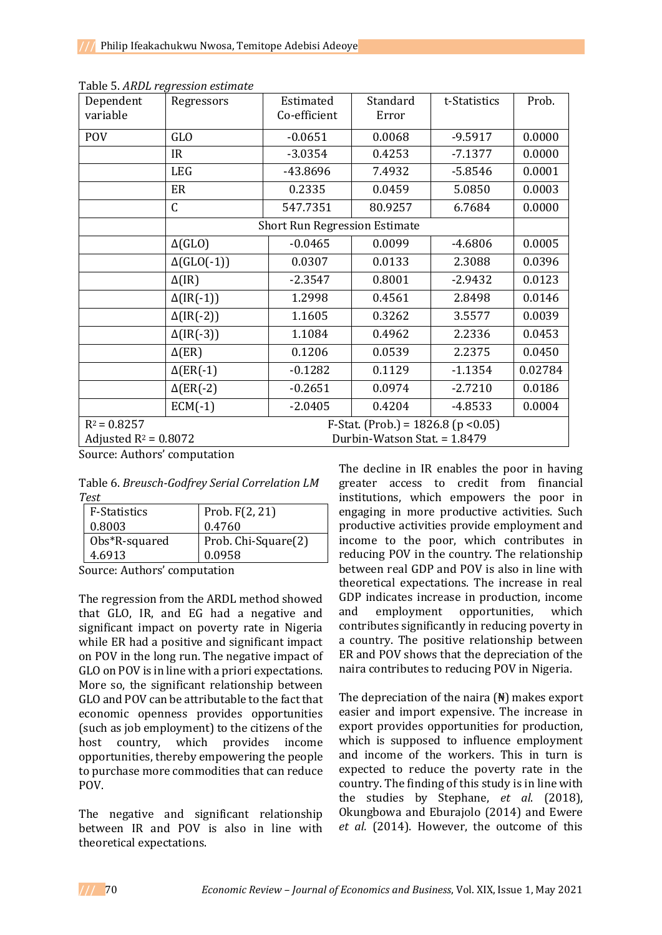| Dependent<br>variable | Regressors                                                                                       | Estimated<br>Co-efficient            | Standard<br>Error | t-Statistics | Prob.   |
|-----------------------|--------------------------------------------------------------------------------------------------|--------------------------------------|-------------------|--------------|---------|
| <b>POV</b>            | GLO                                                                                              | $-0.0651$                            | 0.0068            | $-9.5917$    | 0.0000  |
|                       | IR                                                                                               | $-3.0354$                            | 0.4253            | $-7.1377$    | 0.0000  |
|                       | <b>LEG</b>                                                                                       | -43.8696                             | 7.4932            | $-5.8546$    | 0.0001  |
|                       | ER                                                                                               | 0.2335                               | 0.0459            | 5.0850       | 0.0003  |
|                       | $\mathsf{C}$                                                                                     | 547.7351                             | 80.9257           | 6.7684       | 0.0000  |
|                       |                                                                                                  | <b>Short Run Regression Estimate</b> |                   |              |         |
|                       | $\Delta(GLO)$                                                                                    | $-0.0465$                            | 0.0099            | $-4.6806$    | 0.0005  |
|                       | $\Delta(GLO(-1))$                                                                                | 0.0307                               | 0.0133            | 2.3088       | 0.0396  |
|                       | $\Delta$ (IR)                                                                                    | $-2.3547$                            | 0.8001            | $-2.9432$    | 0.0123  |
|                       | $\Delta(\text{IR}(-1))$                                                                          | 1.2998                               | 0.4561            | 2.8498       | 0.0146  |
|                       | $\Delta(\text{IR}(-2))$                                                                          | 1.1605                               | 0.3262            | 3.5577       | 0.0039  |
|                       | $\Delta(\text{IR}(-3))$                                                                          | 1.1084                               | 0.4962            | 2.2336       | 0.0453  |
|                       | $\Delta$ (ER)                                                                                    | 0.1206                               | 0.0539            | 2.2375       | 0.0450  |
|                       | $\Delta$ (ER(-1)                                                                                 | $-0.1282$                            | 0.1129            | $-1.1354$    | 0.02784 |
|                       | $\Delta$ (ER(-2)                                                                                 | $-0.2651$                            | 0.0974            | $-2.7210$    | 0.0186  |
|                       | $ECM(-1)$                                                                                        | $-2.0405$                            | 0.4204            | $-4.8533$    | 0.0004  |
| $R^2 = 0.8257$        | F-Stat. (Prob.) = $1826.8$ (p < 0.05)<br>Adjusted $R^2 = 0.8072$<br>Durbin-Watson Stat. = 1.8479 |                                      |                   |              |         |

|  |  |  |  | Table 5. ARDL regression estimate |  |
|--|--|--|--|-----------------------------------|--|
|--|--|--|--|-----------------------------------|--|

Source: Authors' computation

| Table 6. Breusch-Godfrey Serial Correlation LM |  |
|------------------------------------------------|--|
| Test                                           |  |

| <b>F-Statistics</b>              | Prob. $F(2, 21)$    |  |
|----------------------------------|---------------------|--|
| 0.8003                           | 0.4760              |  |
| Obs*R-squared                    | Prob. Chi-Square(2) |  |
| 4.6913<br>0.0958                 |                     |  |
| Carrier - Arcthard announced the |                     |  |

Source: Authors' computation

The regression from the ARDL method showed that GLO, IR, and EG had a negative and significant impact on poverty rate in Nigeria while ER had a positive and significant impact on POV in the long run. The negative impact of GLO on POV is in line with a priori expectations. More so, the significant relationship between GLO and POV can be attributable to the fact that economic openness provides opportunities (such as job employment) to the citizens of the host country, which provides income opportunities, thereby empowering the people to purchase more commodities that can reduce POV.

The negative and significant relationship between IR and POV is also in line with theoretical expectations.

The decline in IR enables the poor in having greater access to credit from financial institutions, which empowers the poor in engaging in more productive activities. Such productive activities provide employment and income to the poor, which contributes in reducing POV in the country. The relationship between real GDP and POV is also in line with theoretical expectations. The increase in real GDP indicates increase in production, income and employment opportunities, which contributes significantly in reducing poverty in a country. The positive relationship between ER and POV shows that the depreciation of the naira contributes to reducing POV in Nigeria.

The depreciation of the naira (₦) makes export easier and import expensive. The increase in export provides opportunities for production, which is supposed to influence employment and income of the workers. This in turn is expected to reduce the poverty rate in the country. The finding of this study is in line with the studies by Stephane, *et al*. (2018), Okungbowa and Eburajolo (2014) and Ewere *et al.* (2014). However, the outcome of this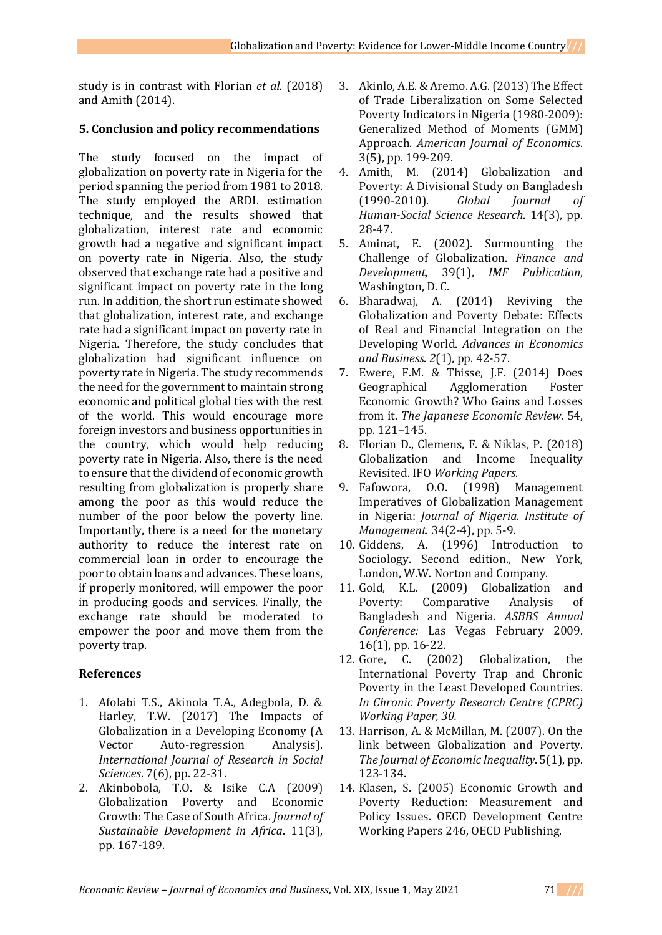study is in contrast with Florian *et al*. (2018) and Amith (2014).

## **5. Conclusion and policy recommendations**

The study focused on the impact of globalization on poverty rate in Nigeria for the period spanning the period from 1981 to 2018. The study employed the ARDL estimation technique, and the results showed that globalization, interest rate and economic growth had a negative and significant impact on poverty rate in Nigeria. Also, the study observed that exchange rate had a positive and significant impact on poverty rate in the long run. In addition, the short run estimate showed that globalization, interest rate, and exchange rate had a significant impact on poverty rate in Nigeria**.** Therefore, the study concludes that globalization had significant influence on poverty rate in Nigeria. The study recommends the need for the government to maintain strong economic and political global ties with the rest of the world. This would encourage more foreign investors and business opportunities in the country, which would help reducing poverty rate in Nigeria. Also, there is the need to ensure that the dividend of economic growth resulting from globalization is properly share among the poor as this would reduce the number of the poor below the poverty line. Importantly, there is a need for the monetary authority to reduce the interest rate on commercial loan in order to encourage the poor to obtain loans and advances. These loans, if properly monitored, will empower the poor in producing goods and services. Finally, the exchange rate should be moderated to empower the poor and move them from the poverty trap.

## **References**

- 1. Afolabi T.S., Akinola T.A., Adegbola, D. & Harley, T.W. (2017) The Impacts of Globalization in a Developing Economy (A Vector Auto-regression Analysis). *International Journal of Research in Social Sciences*. 7(6), pp. 22-31.
- 2. Akinbobola, T.O. & Isike C.A (2009) Globalization Poverty and Economic Growth: The Case of South Africa. *Journal of Sustainable Development in Africa*. 11(3), pp. 167-189.
- 3. Akinlo, A.E. & Aremo. A.G. (2013) The Effect of Trade Liberalization on Some Selected Poverty Indicators in Nigeria (1980-2009): Generalized Method of Moments (GMM) Approach. *American Journal of Economics*. 3(5), pp. 199-209.
- 4. Amith, M. (2014) Globalization and Poverty: A Divisional Study on Bangladesh (1990-2010). *Global Journal of Human-Social Science Research*. 14(3), pp. 28-47.
- 5. Aminat, E. (2002). Surmounting the Challenge of Globalization. *Finance and Development,* 39(1), *IMF Publication*, Washington, D. C.
- 6. Bharadwaj, A. (2014) Reviving the Globalization and Poverty Debate: Effects of Real and Financial Integration on the Developing World. *Advances in Economics and Business*. *2*(1), pp. 42-57.
- 7. Ewere, F.M. & Thisse, J.F. (2014) Does Geographical Agglomeration Foster Economic Growth? Who Gains and Losses from it. *The Japanese Economic Review*. 54, pp. 121–145.
- 8. Florian D., Clemens, F. & Niklas, P. (2018) Globalization and Income Inequality Revisited. IFO *Working Papers*.
- 9. Fafowora, O.O. (1998) Management Imperatives of Globalization Management in Nigeria: *Journal of Nigeria. Institute of Management*. 34(2-4), pp. 5-9.
- 10. Giddens, A. (1996) Introduction to Sociology. Second edition., New York, London, W.W. Norton and Company.
- 11. Gold, K.L. (2009) Globalization and Poverty: Comparative Analysis of Bangladesh and Nigeria. *ASBBS Annual Conference:* Las Vegas February 2009. 16(1), pp. 16-22.
- 12. Gore, C. (2002) Globalization, the International Poverty Trap and Chronic Poverty in the Least Developed Countries. *In Chronic Poverty Research Centre (CPRC) Working Paper, 30.*
- 13. Harrison, A. & McMillan, M. (2007). On the link between Globalization and Poverty. *The Journal of Economic Inequality*. 5(1), pp. 123-134.
- 14. Klasen, S. (2005) Economic Growth and Poverty Reduction: Measurement and Policy Issues. OECD Development Centre Working Papers 246, OECD Publishing.